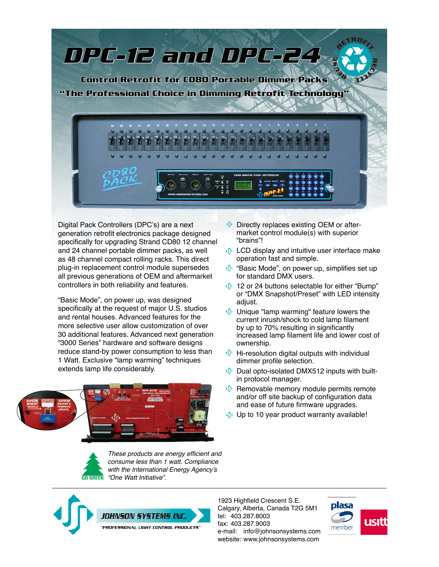

Digital Pack Controllers (DPC's) are a next generation retrofit electronics package designed specifically for upgrading Strand CD80 12 channel and 24 channel portable dimmer packs, as well as 48 channel compact rolling racks. This direct plug-in replacement control module supersedes all previous generations of OEM and aftermarket controllers in both reliability and features.

"Basic Mode", on power up, was designed specifically at the request of major U.S. studios and rental houses. Advanced features for the more selective user allow customization of over 30 additional features. Advanced next generation "3000 Series" hardware and software designs reduce stand-by power consumption to less than 1 Watt. Exclusive "lamp warming" techniques extends lamp life considerably.



- **Directly replaces existing OEM or after**market control module(s) with superior "brains"!
- *I* LCD display and intuitive user interface make operation fast and simple.
- $\Phi$  "Basic Mode", on power up, simplifies set up for standard DMX users.
- $\oint$  12 or 24 buttons selectable for either "Bump" or "DMX Snapshot/Preset" with LED intensity adjust.
- **Unique "lamp warming" feature lowers the** current inrush/shock to cold lamp filament by up to 70% resulting in significantly increased lamp filament life and lower cost of ownership.
- $\mathbf{\Phi}$  Hi-resolution digital outputs with individual dimmer profile selection.
- $\oint$  Dual opto-isolated DMX512 inputs with builtin protocol manager.
- **C** Removable memory module permits remote and/or off site backup of configuration data and ease of future firmware upgrades.
- **Up to 10 year product warranty available!**



These products are energy efficient and consume less than 1 watt. Compliance with the International Energy Agency's **GO GREEN** "One Watt Initiative".



1923 Highfield Crescent S.E. Calgary, Alberta, Canada T2G 5M1 tel: 403.287.8003 fax: 403.287.9003 e-mail: info@johnsonsystems.com website: www.johnsonsystems.com